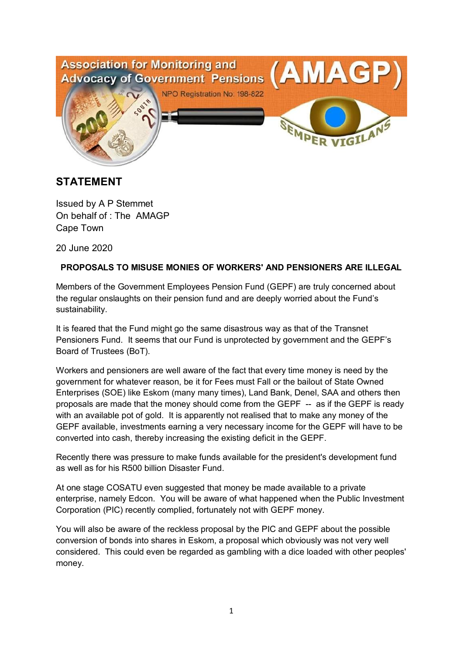

# **STATEMENT**

Issued by A P Stemmet On behalf of : The AMAGP Cape Town

20 June 2020

# **PROPOSALS TO MISUSE MONIES OF WORKERS' AND PENSIONERS ARE ILLEGAL**

Members of the Government Employees Pension Fund (GEPF) are truly concerned about the regular onslaughts on their pension fund and are deeply worried about the Fund's sustainability.

It is feared that the Fund might go the same disastrous way as that of the Transnet Pensioners Fund. It seems that our Fund is unprotected by government and the GEPF's Board of Trustees (BoT).

Workers and pensioners are well aware of the fact that every time money is need by the government for whatever reason, be it for Fees must Fall or the bailout of State Owned Enterprises (SOE) like Eskom (many many times), Land Bank, Denel, SAA and others then proposals are made that the money should come from the GEPF -- as if the GEPF is ready with an available pot of gold. It is apparently not realised that to make any money of the GEPF available, investments earning a very necessary income for the GEPF will have to be converted into cash, thereby increasing the existing deficit in the GEPF.

Recently there was pressure to make funds available for the president's development fund as well as for his R500 billion Disaster Fund.

At one stage COSATU even suggested that money be made available to a private enterprise, namely Edcon. You will be aware of what happened when the Public Investment Corporation (PIC) recently complied, fortunately not with GEPF money.

You will also be aware of the reckless proposal by the PIC and GEPF about the possible conversion of bonds into shares in Eskom, a proposal which obviously was not very well considered. This could even be regarded as gambling with a dice loaded with other peoples' money.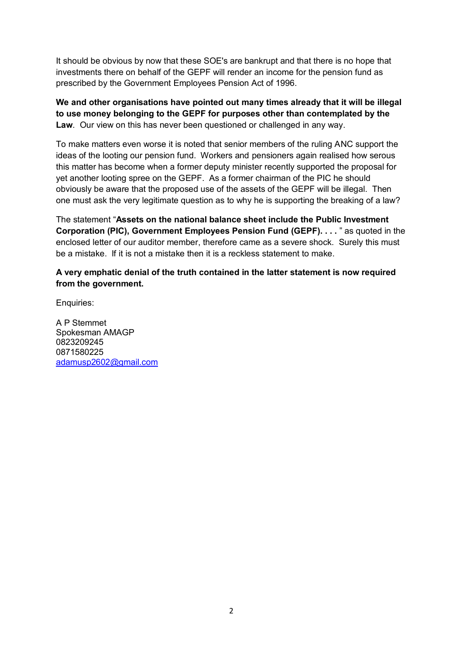It should be obvious by now that these SOE's are bankrupt and that there is no hope that investments there on behalf of the GEPF will render an income for the pension fund as prescribed by the Government Employees Pension Act of 1996.

**We and other organisations have pointed out many times already that it will be illegal to use money belonging to the GEPF for purposes other than contemplated by the Law**. Our view on this has never been questioned or challenged in any way.

To make matters even worse it is noted that senior members of the ruling ANC support the ideas of the looting our pension fund. Workers and pensioners again realised how serous this matter has become when a former deputy minister recently supported the proposal for yet another looting spree on the GEPF. As a former chairman of the PIC he should obviously be aware that the proposed use of the assets of the GEPF will be illegal. Then one must ask the very legitimate question as to why he is supporting the breaking of a law?

The statement "**Assets on the national balance sheet include the Public Investment Corporation (PIC), Government Employees Pension Fund (GEPF). . . .** " as quoted in the enclosed letter of our auditor member, therefore came as a severe shock. Surely this must be a mistake. If it is not a mistake then it is a reckless statement to make.

#### **A very emphatic denial of the truth contained in the latter statement is now required from the government.**

Enquiries:

A P Stemmet Spokesman AMAGP 0823209245 0871580225 adamusp2602@gmail.com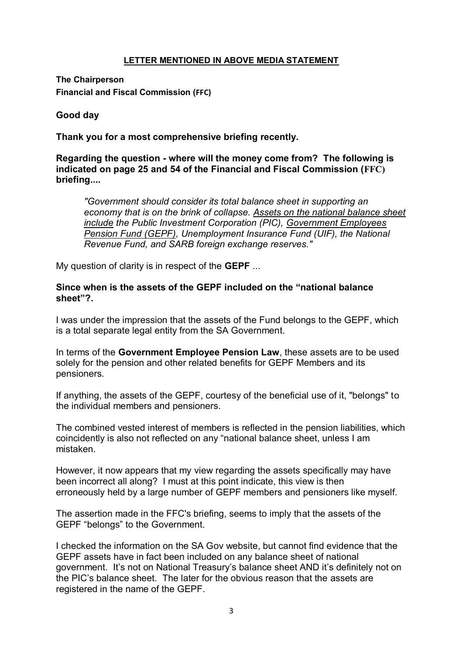## **LETTER MENTIONED IN ABOVE MEDIA STATEMENT**

**The Chairperson Financial and Fiscal Commission (FFC)**

## **Good day**

**Thank you for a most comprehensive briefing recently.**

**Regarding the question - where will the money come from? The following is indicated on page 25 and 54 of the Financial and Fiscal Commission (FFC) briefing....**

*"Government should consider its total balance sheet in supporting an economy that is on the brink of collapse. Assets on the national balance sheet include the Public Investment Corporation (PIC), Government Employees Pension Fund (GEPF), Unemployment Insurance Fund (UIF), the National Revenue Fund, and SARB foreign exchange reserves."*

My question of clarity is in respect of the **GEPF** ...

## **Since when is the assets of the GEPF included on the "national balance sheet"?.**

I was under the impression that the assets of the Fund belongs to the GEPF, which is a total separate legal entity from the SA Government.

In terms of the **Government Employee Pension Law**, these assets are to be used solely for the pension and other related benefits for GEPF Members and its pensioners.

If anything, the assets of the GEPF, courtesy of the beneficial use of it, "belongs" to the individual members and pensioners.

The combined vested interest of members is reflected in the pension liabilities, which coincidently is also not reflected on any "national balance sheet, unless I am mistaken.

However, it now appears that my view regarding the assets specifically may have been incorrect all along? I must at this point indicate, this view is then erroneously held by a large number of GEPF members and pensioners like myself.

The assertion made in the FFC's briefing, seems to imply that the assets of the GEPF "belongs" to the Government.

I checked the information on the SA Gov website, but cannot find evidence that the GEPF assets have in fact been included on any balance sheet of national government. It's not on National Treasury's balance sheet AND it's definitely not on the PIC's balance sheet. The later for the obvious reason that the assets are registered in the name of the GEPF.